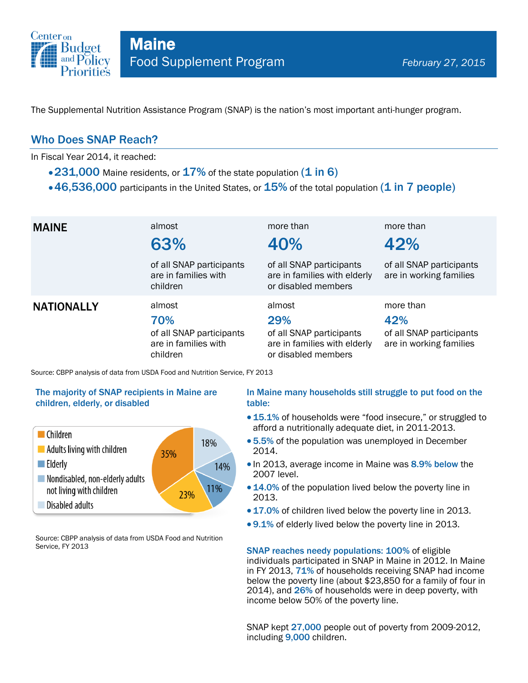

The Supplemental Nutrition Assistance Program (SNAP) is the nation's most important anti-hunger program.

### Who Does SNAP Reach?

In Fiscal Year 2014, it reached:

- $\cdot$  231,000 Maine residents, or 17% of the state population (1 in 6)
- $\cdot$  46,536,000 participants in the United States, or  $15\%$  of the total population (1 in 7 people)

| <b>MAINE</b>      | almost<br>63%<br>of all SNAP participants<br>are in families with<br>children | more than<br>40%<br>of all SNAP participants<br>are in families with elderly<br>or disabled members | more than<br>42%<br>of all SNAP participants<br>are in working families |
|-------------------|-------------------------------------------------------------------------------|-----------------------------------------------------------------------------------------------------|-------------------------------------------------------------------------|
| <b>NATIONALLY</b> | almost<br>70%<br>of all SNAP participants<br>are in families with<br>children | almost<br>29%<br>of all SNAP participants<br>are in families with elderly<br>or disabled members    | more than<br>42%<br>of all SNAP participants<br>are in working families |

Source: CBPP analysis of data from USDA Food and Nutrition Service, FY 2013

#### The majority of SNAP recipients in Maine are children, elderly, or disabled



Source: CBPP analysis of data from USDA Food and Nutrition Service, FY 2013

#### In Maine many households still struggle to put food on the table:

- 15.1% of households were "food insecure," or struggled to afford a nutritionally adequate diet, in 2011-2013.
- 5.5% of the population was unemployed in December 2014.
- In 2013, average income in Maine was 8.9% below the 2007 level.
- 14.0% of the population lived below the poverty line in 2013.
- 17.0% of children lived below the poverty line in 2013.
- 9.1% of elderly lived below the poverty line in 2013.

SNAP reaches needy populations: 100% of eligible individuals participated in SNAP in Maine in 2012. In Maine in FY 2013, 71% of households receiving SNAP had income below the poverty line (about \$23,850 for a family of four in 2014), and 26% of households were in deep poverty, with income below 50% of the poverty line.

SNAP kept 27,000 people out of poverty from 2009-2012, including 9,000 children.